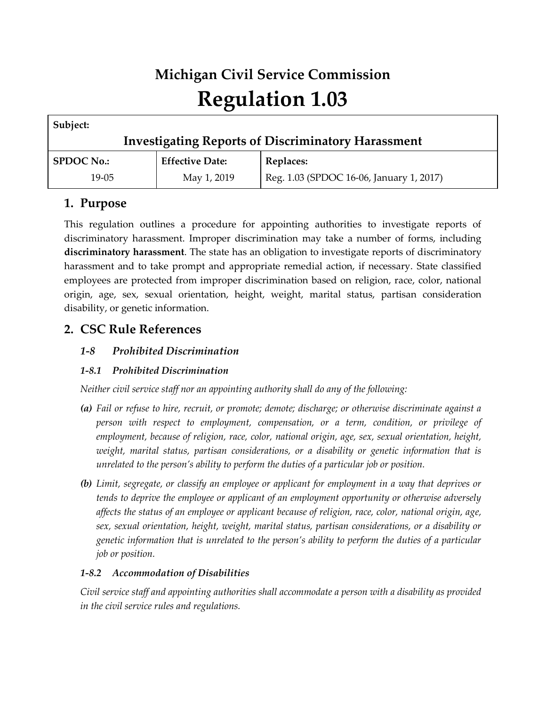# **Michigan Civil Service Commission Regulation 1.03**

| Subject:                                                  |                        |                                          |
|-----------------------------------------------------------|------------------------|------------------------------------------|
| <b>Investigating Reports of Discriminatory Harassment</b> |                        |                                          |
| <b>SPDOC No.:</b>                                         | <b>Effective Date:</b> | Replaces:                                |
| $19-0.5$                                                  | May 1, 2019            | Reg. 1.03 (SPDOC 16-06, January 1, 2017) |

# **1. Purpose**

This regulation outlines a procedure for appointing authorities to investigate reports of discriminatory harassment. Improper discrimination may take a number of forms, including **discriminatory harassment**. The state has an obligation to investigate reports of discriminatory harassment and to take prompt and appropriate remedial action, if necessary. State classified employees are protected from improper discrimination based on religion, race, color, national origin, age, sex, sexual orientation, height, weight, marital status, partisan consideration disability, or genetic information.

# **2. CSC Rule References**

## *1-8 Prohibited Discrimination*

## *1-8.1 Prohibited Discrimination*

*Neither civil service staff nor an appointing authority shall do any of the following:*

- *(a) Fail or refuse to hire, recruit, or promote; demote; discharge; or otherwise discriminate against a person with respect to employment, compensation, or a term, condition, or privilege of employment, because of religion, race, color, national origin, age, sex, sexual orientation, height,*  weight, marital status, partisan considerations, or a disability or genetic information that is *unrelated to the person's ability to perform the duties of a particular job or position.*
- *(b) Limit, segregate, or classify an employee or applicant for employment in a way that deprives or tends to deprive the employee or applicant of an employment opportunity or otherwise adversely affects the status of an employee or applicant because of religion, race, color, national origin, age, sex, sexual orientation, height, weight, marital status, partisan considerations, or a disability or genetic information that is unrelated to the person's ability to perform the duties of a particular job or position.*

## *1-8.2 Accommodation of Disabilities*

*Civil service staff and appointing authorities shall accommodate a person with a disability as provided in the civil service rules and regulations.*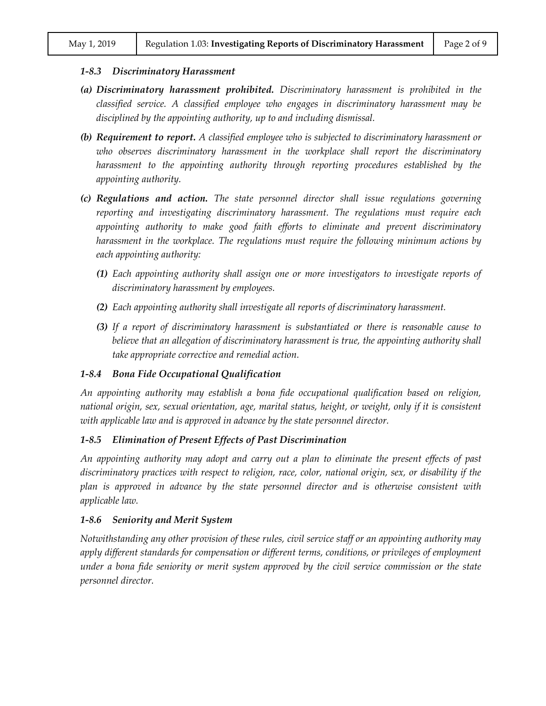#### *1-8.3 Discriminatory Harassment*

- *(a) Discriminatory harassment prohibited. Discriminatory harassment is prohibited in the classified service. A classified employee who engages in discriminatory harassment may be disciplined by the appointing authority, up to and including dismissal.*
- *(b) Requirement to report. A classified employee who is subjected to discriminatory harassment or*  who observes discriminatory harassment in the workplace shall report the discriminatory *harassment to the appointing authority through reporting procedures established by the appointing authority.*
- *(c) Regulations and action. The state personnel director shall issue regulations governing reporting and investigating discriminatory harassment. The regulations must require each appointing authority to make good faith efforts to eliminate and prevent discriminatory harassment in the workplace. The regulations must require the following minimum actions by each appointing authority:*
	- *(1) Each appointing authority shall assign one or more investigators to investigate reports of discriminatory harassment by employees.*
	- *(2) Each appointing authority shall investigate all reports of discriminatory harassment.*
	- *(3) If a report of discriminatory harassment is substantiated or there is reasonable cause to believe that an allegation of discriminatory harassment is true, the appointing authority shall take appropriate corrective and remedial action.*

#### *1-8.4 Bona Fide Occupational Qualification*

*An appointing authority may establish a bona fide occupational qualification based on religion, national origin, sex, sexual orientation, age, marital status, height, or weight, only if it is consistent with applicable law and is approved in advance by the state personnel director.*

#### *1-8.5 Elimination of Present Effects of Past Discrimination*

*An appointing authority may adopt and carry out a plan to eliminate the present effects of past discriminatory practices with respect to religion, race, color, national origin, sex, or disability if the plan is approved in advance by the state personnel director and is otherwise consistent with applicable law.*

#### *1-8.6 Seniority and Merit System*

*Notwithstanding any other provision of these rules, civil service staff or an appointing authority may apply different standards for compensation or different terms, conditions, or privileges of employment under a bona fide seniority or merit system approved by the civil service commission or the state personnel director.*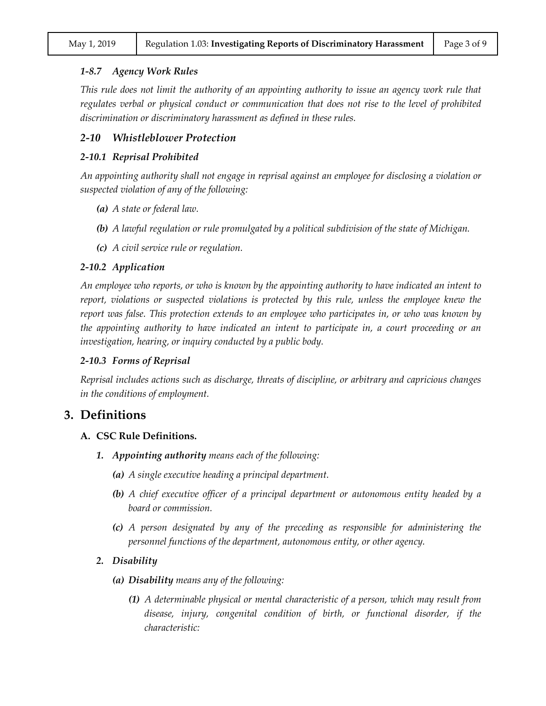#### *1-8.7 Agency Work Rules*

*This rule does not limit the authority of an appointing authority to issue an agency work rule that regulates verbal or physical conduct or communication that does not rise to the level of prohibited discrimination or discriminatory harassment as defined in these rules.*

#### *2-10 Whistleblower Protection*

#### *2-10.1 Reprisal Prohibited*

*An appointing authority shall not engage in reprisal against an employee for disclosing a violation or suspected violation of any of the following:*

- *(a) A state or federal law.*
- *(b) A lawful regulation or rule promulgated by a political subdivision of the state of Michigan.*
- *(c) A civil service rule or regulation.*

#### *2-10.2 Application*

*An employee who reports, or who is known by the appointing authority to have indicated an intent to report, violations or suspected violations is protected by this rule, unless the employee knew the report was false. This protection extends to an employee who participates in, or who was known by the appointing authority to have indicated an intent to participate in, a court proceeding or an investigation, hearing, or inquiry conducted by a public body.*

#### *2-10.3 Forms of Reprisal*

*Reprisal includes actions such as discharge, threats of discipline, or arbitrary and capricious changes in the conditions of employment.*

#### **3. Definitions**

#### **A. CSC Rule Definitions.**

- *1. Appointing authority means each of the following:*
	- *(a) A single executive heading a principal department.*
	- *(b) A chief executive officer of a principal department or autonomous entity headed by a board or commission.*
	- *(c) A person designated by any of the preceding as responsible for administering the personnel functions of the department, autonomous entity, or other agency.*

#### *2. Disability*

- *(a) Disability means any of the following:*
	- *(1) A determinable physical or mental characteristic of a person, which may result from disease, injury, congenital condition of birth, or functional disorder, if the characteristic:*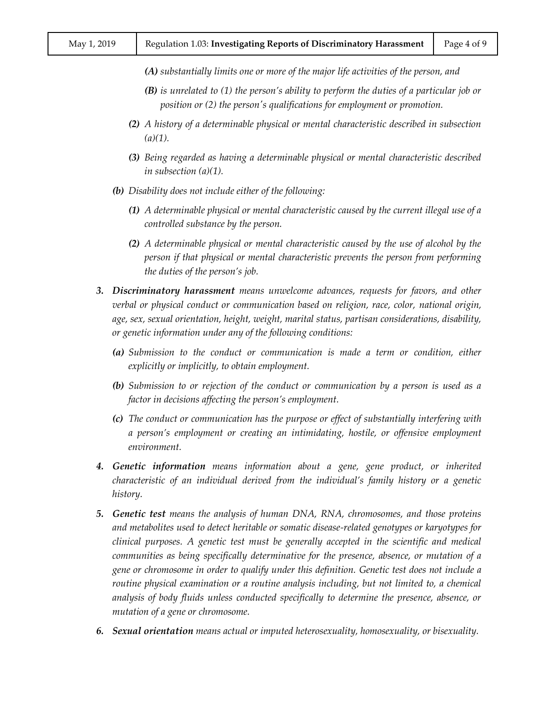- *(A) substantially limits one or more of the major life activities of the person, and*
- *(B) is unrelated to (1) the person's ability to perform the duties of a particular job or position or (2) the person's qualifications for employment or promotion.*
- *(2) A history of a determinable physical or mental characteristic described in subsection (a)(1).*
- *(3) Being regarded as having a determinable physical or mental characteristic described in subsection (a)(1).*
- *(b) Disability does not include either of the following:*
	- *(1) A determinable physical or mental characteristic caused by the current illegal use of a controlled substance by the person.*
	- *(2) A determinable physical or mental characteristic caused by the use of alcohol by the person if that physical or mental characteristic prevents the person from performing the duties of the person's job.*
- *3. Discriminatory harassment means unwelcome advances, requests for favors, and other verbal or physical conduct or communication based on religion, race, color, national origin, age, sex, sexual orientation, height, weight, marital status, partisan considerations, disability, or genetic information under any of the following conditions:*
	- *(a) Submission to the conduct or communication is made a term or condition, either explicitly or implicitly, to obtain employment.*
	- *(b) Submission to or rejection of the conduct or communication by a person is used as a factor in decisions affecting the person's employment.*
	- *(c) The conduct or communication has the purpose or effect of substantially interfering with a person's employment or creating an intimidating, hostile, or offensive employment environment.*
- *4. Genetic information means information about a gene, gene product, or inherited characteristic of an individual derived from the individual's family history or a genetic history.*
- *5. Genetic test means the analysis of human DNA, RNA, chromosomes, and those proteins and metabolites used to detect heritable or somatic disease-related genotypes or karyotypes for clinical purposes. A genetic test must be generally accepted in the scientific and medical communities as being specifically determinative for the presence, absence, or mutation of a gene or chromosome in order to qualify under this definition. Genetic test does not include a routine physical examination or a routine analysis including, but not limited to, a chemical analysis of body fluids unless conducted specifically to determine the presence, absence, or mutation of a gene or chromosome.*
- *6. Sexual orientation means actual or imputed heterosexuality, homosexuality, or bisexuality.*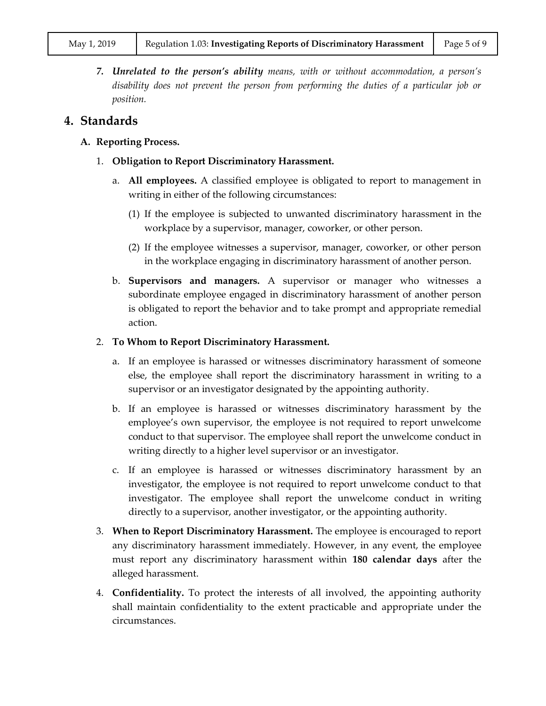*7. Unrelated to the person's ability means, with or without accommodation, a person's disability does not prevent the person from performing the duties of a particular job or position.*

## **4. Standards**

#### **A. Reporting Process.**

- 1. **Obligation to Report Discriminatory Harassment.**
	- a. **All employees.** A classified employee is obligated to report to management in writing in either of the following circumstances:
		- (1) If the employee is subjected to unwanted discriminatory harassment in the workplace by a supervisor, manager, coworker, or other person.
		- (2) If the employee witnesses a supervisor, manager, coworker, or other person in the workplace engaging in discriminatory harassment of another person.
	- b. **Supervisors and managers.** A supervisor or manager who witnesses a subordinate employee engaged in discriminatory harassment of another person is obligated to report the behavior and to take prompt and appropriate remedial action.

#### 2. **To Whom to Report Discriminatory Harassment.**

- a. If an employee is harassed or witnesses discriminatory harassment of someone else, the employee shall report the discriminatory harassment in writing to a supervisor or an investigator designated by the appointing authority.
- b. If an employee is harassed or witnesses discriminatory harassment by the employee's own supervisor, the employee is not required to report unwelcome conduct to that supervisor. The employee shall report the unwelcome conduct in writing directly to a higher level supervisor or an investigator.
- c. If an employee is harassed or witnesses discriminatory harassment by an investigator, the employee is not required to report unwelcome conduct to that investigator. The employee shall report the unwelcome conduct in writing directly to a supervisor, another investigator, or the appointing authority.
- 3. **When to Report Discriminatory Harassment.** The employee is encouraged to report any discriminatory harassment immediately. However, in any event, the employee must report any discriminatory harassment within **180 calendar days** after the alleged harassment.
- 4. **Confidentiality.** To protect the interests of all involved, the appointing authority shall maintain confidentiality to the extent practicable and appropriate under the circumstances.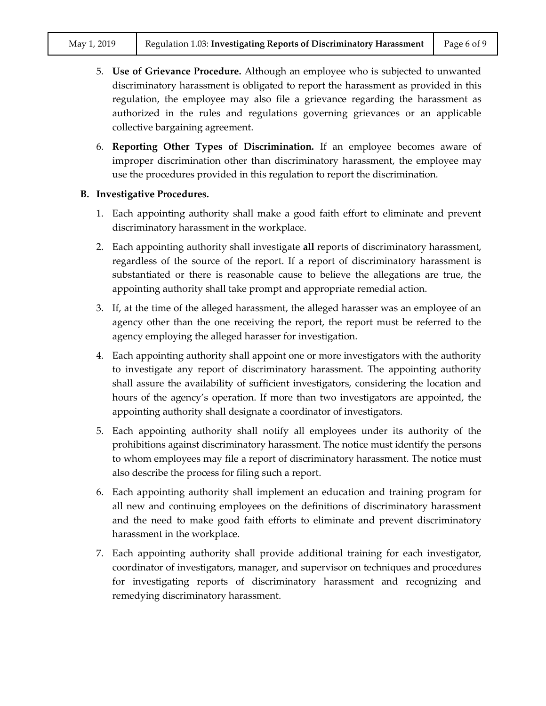- 5. **Use of Grievance Procedure.** Although an employee who is subjected to unwanted discriminatory harassment is obligated to report the harassment as provided in this regulation, the employee may also file a grievance regarding the harassment as authorized in the rules and regulations governing grievances or an applicable collective bargaining agreement.
- 6. **Reporting Other Types of Discrimination.** If an employee becomes aware of improper discrimination other than discriminatory harassment, the employee may use the procedures provided in this regulation to report the discrimination.

#### **B. Investigative Procedures.**

- 1. Each appointing authority shall make a good faith effort to eliminate and prevent discriminatory harassment in the workplace.
- 2. Each appointing authority shall investigate **all** reports of discriminatory harassment, regardless of the source of the report. If a report of discriminatory harassment is substantiated or there is reasonable cause to believe the allegations are true, the appointing authority shall take prompt and appropriate remedial action.
- 3. If, at the time of the alleged harassment, the alleged harasser was an employee of an agency other than the one receiving the report, the report must be referred to the agency employing the alleged harasser for investigation.
- 4. Each appointing authority shall appoint one or more investigators with the authority to investigate any report of discriminatory harassment. The appointing authority shall assure the availability of sufficient investigators, considering the location and hours of the agency's operation. If more than two investigators are appointed, the appointing authority shall designate a coordinator of investigators.
- 5. Each appointing authority shall notify all employees under its authority of the prohibitions against discriminatory harassment. The notice must identify the persons to whom employees may file a report of discriminatory harassment. The notice must also describe the process for filing such a report.
- 6. Each appointing authority shall implement an education and training program for all new and continuing employees on the definitions of discriminatory harassment and the need to make good faith efforts to eliminate and prevent discriminatory harassment in the workplace.
- 7. Each appointing authority shall provide additional training for each investigator, coordinator of investigators, manager, and supervisor on techniques and procedures for investigating reports of discriminatory harassment and recognizing and remedying discriminatory harassment.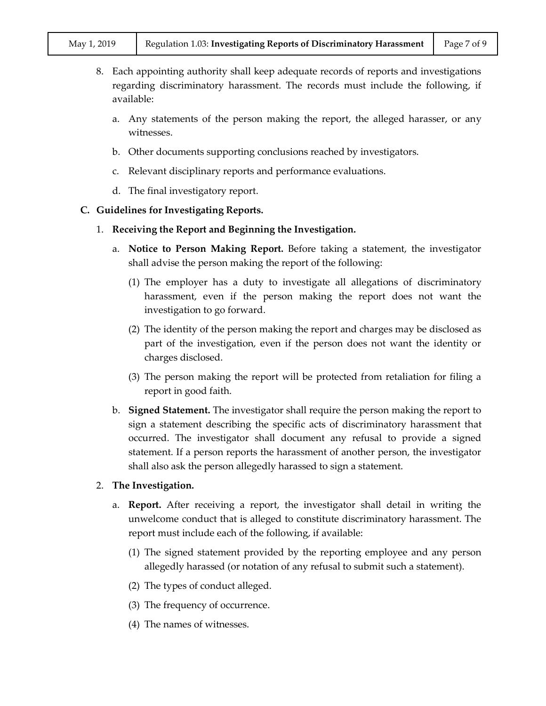- 8. Each appointing authority shall keep adequate records of reports and investigations regarding discriminatory harassment. The records must include the following, if available:
	- a. Any statements of the person making the report, the alleged harasser, or any witnesses.
	- b. Other documents supporting conclusions reached by investigators.
	- c. Relevant disciplinary reports and performance evaluations.
	- d. The final investigatory report.

#### **C. Guidelines for Investigating Reports.**

- 1. **Receiving the Report and Beginning the Investigation.**
	- a. **Notice to Person Making Report.** Before taking a statement, the investigator shall advise the person making the report of the following:
		- (1) The employer has a duty to investigate all allegations of discriminatory harassment, even if the person making the report does not want the investigation to go forward.
		- (2) The identity of the person making the report and charges may be disclosed as part of the investigation, even if the person does not want the identity or charges disclosed.
		- (3) The person making the report will be protected from retaliation for filing a report in good faith.
	- b. **Signed Statement.** The investigator shall require the person making the report to sign a statement describing the specific acts of discriminatory harassment that occurred. The investigator shall document any refusal to provide a signed statement. If a person reports the harassment of another person, the investigator shall also ask the person allegedly harassed to sign a statement.
- 2. **The Investigation.**
	- a. **Report.** After receiving a report, the investigator shall detail in writing the unwelcome conduct that is alleged to constitute discriminatory harassment. The report must include each of the following, if available:
		- (1) The signed statement provided by the reporting employee and any person allegedly harassed (or notation of any refusal to submit such a statement).
		- (2) The types of conduct alleged.
		- (3) The frequency of occurrence.
		- (4) The names of witnesses.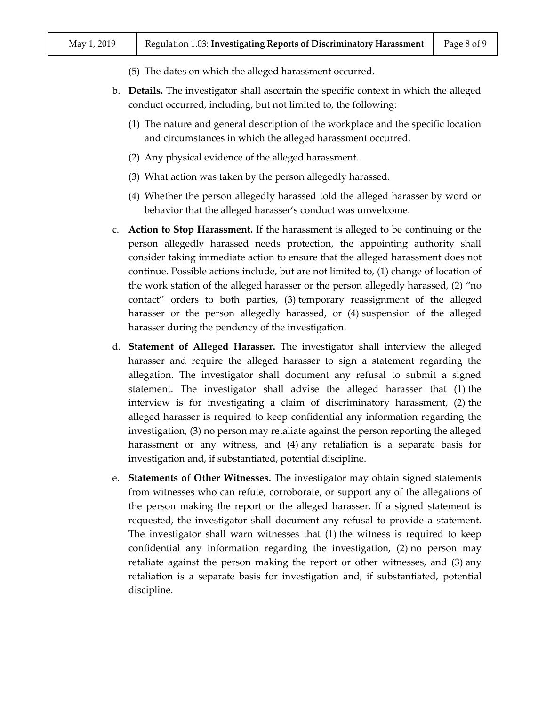- (5) The dates on which the alleged harassment occurred.
- b. **Details.** The investigator shall ascertain the specific context in which the alleged conduct occurred, including, but not limited to, the following:
	- (1) The nature and general description of the workplace and the specific location and circumstances in which the alleged harassment occurred.
	- (2) Any physical evidence of the alleged harassment.
	- (3) What action was taken by the person allegedly harassed.
	- (4) Whether the person allegedly harassed told the alleged harasser by word or behavior that the alleged harasser's conduct was unwelcome.
- c. **Action to Stop Harassment.** If the harassment is alleged to be continuing or the person allegedly harassed needs protection, the appointing authority shall consider taking immediate action to ensure that the alleged harassment does not continue. Possible actions include, but are not limited to, (1) change of location of the work station of the alleged harasser or the person allegedly harassed, (2) "no contact" orders to both parties, (3) temporary reassignment of the alleged harasser or the person allegedly harassed, or  $(4)$  suspension of the alleged harasser during the pendency of the investigation.
- d. **Statement of Alleged Harasser.** The investigator shall interview the alleged harasser and require the alleged harasser to sign a statement regarding the allegation. The investigator shall document any refusal to submit a signed statement. The investigator shall advise the alleged harasser that (1) the interview is for investigating a claim of discriminatory harassment, (2) the alleged harasser is required to keep confidential any information regarding the investigation, (3) no person may retaliate against the person reporting the alleged harassment or any witness, and (4) any retaliation is a separate basis for investigation and, if substantiated, potential discipline.
- e. **Statements of Other Witnesses.** The investigator may obtain signed statements from witnesses who can refute, corroborate, or support any of the allegations of the person making the report or the alleged harasser. If a signed statement is requested, the investigator shall document any refusal to provide a statement. The investigator shall warn witnesses that (1) the witness is required to keep confidential any information regarding the investigation, (2) no person may retaliate against the person making the report or other witnesses, and (3) any retaliation is a separate basis for investigation and, if substantiated, potential discipline.